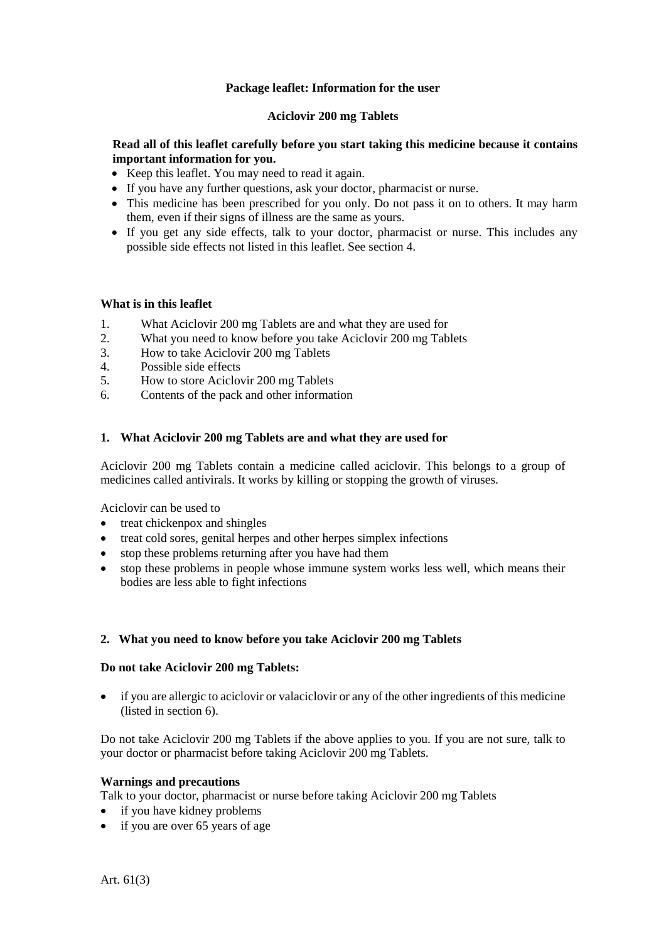# **Package leaflet: Information for the user**

# **Aciclovir 200 mg Tablets**

# **Read all of this leaflet carefully before you start taking this medicine because it contains important information for you.**

- Keep this leaflet. You may need to read it again.
- If you have any further questions, ask your doctor, pharmacist or nurse.
- This medicine has been prescribed for you only. Do not pass it on to others. It may harm them, even if their signs of illness are the same as yours.
- If you get any side effects, talk to your doctor, pharmacist or nurse. This includes any possible side effects not listed in this leaflet. See section 4.

# **What is in this leaflet**

- 1. What Aciclovir 200 mg Tablets are and what they are used for<br>2. What you need to know before you take Aciclovir 200 mg Tab
- 2. What you need to know before you take Aciclovir 200 mg Tablets
- 3. How to take Aciclovir 200 mg Tablets
- 4. Possible side effects
- 5. How to store Aciclovir 200 mg Tablets
- 6. Contents of the pack and other information

# **1. What Aciclovir 200 mg Tablets are and what they are used for**

Aciclovir 200 mg Tablets contain a medicine called aciclovir. This belongs to a group of medicines called antivirals. It works by killing or stopping the growth of viruses.

Aciclovir can be used to

- treat chickenpox and shingles
- treat cold sores, genital herpes and other herpes simplex infections
- stop these problems returning after you have had them
- stop these problems in people whose immune system works less well, which means their bodies are less able to fight infections

# **2. What you need to know before you take Aciclovir 200 mg Tablets**

# **Do not take Aciclovir 200 mg Tablets:**

• if you are allergic to aciclovir or valaciclovir or any of the other ingredients of this medicine (listed in section 6).

Do not take Aciclovir 200 mg Tablets if the above applies to you. If you are not sure, talk to your doctor or pharmacist before taking Aciclovir 200 mg Tablets.

# **Warnings and precautions**

Talk to your doctor, pharmacist or nurse before taking Aciclovir 200 mg Tablets

- if you have kidney problems
- if you are over 65 years of age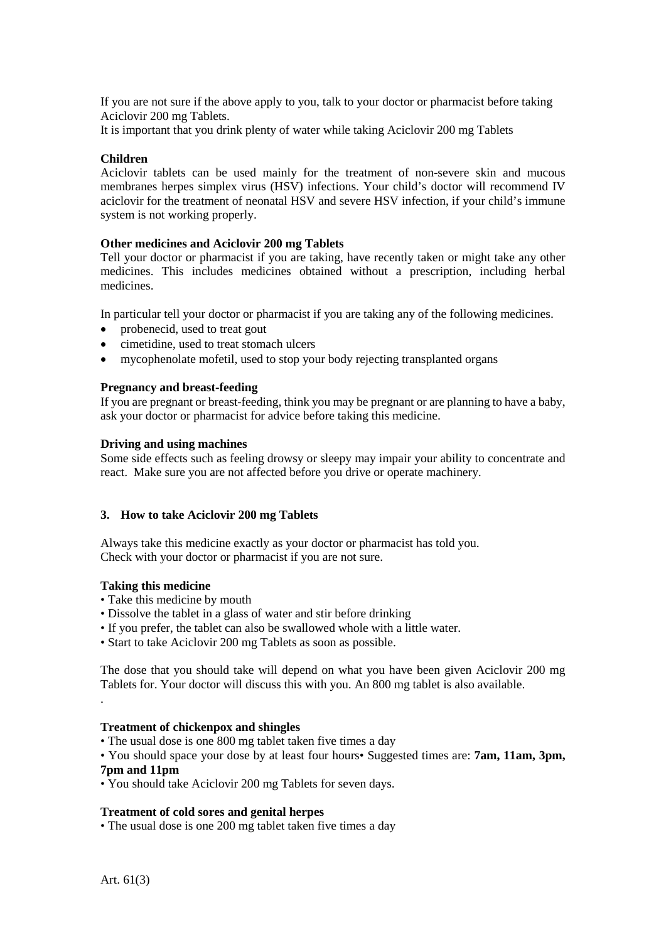If you are not sure if the above apply to you, talk to your doctor or pharmacist before taking Aciclovir 200 mg Tablets.

It is important that you drink plenty of water while taking Aciclovir 200 mg Tablets

# **Children**

Aciclovir tablets can be used mainly for the treatment of non-severe skin and mucous membranes herpes simplex virus (HSV) infections. Your child's doctor will recommend IV aciclovir for the treatment of neonatal HSV and severe HSV infection, if your child's immune system is not working properly.

# **Other medicines and Aciclovir 200 mg Tablets**

Tell your doctor or pharmacist if you are taking, have recently taken or might take any other medicines. This includes medicines obtained without a prescription, including herbal medicines.

In particular tell your doctor or pharmacist if you are taking any of the following medicines.

- probenecid, used to treat gout
- cimetidine, used to treat stomach ulcers
- mycophenolate mofetil, used to stop your body rejecting transplanted organs

# **Pregnancy and breast-feeding**

If you are pregnant or breast-feeding, think you may be pregnant or are planning to have a baby, ask your doctor or pharmacist for advice before taking this medicine.

### **Driving and using machines**

Some side effects such as feeling drowsy or sleepy may impair your ability to concentrate and react. Make sure you are not affected before you drive or operate machinery.

# **3. How to take Aciclovir 200 mg Tablets**

Always take this medicine exactly as your doctor or pharmacist has told you. Check with your doctor or pharmacist if you are not sure.

# **Taking this medicine**

- Take this medicine by mouth
- Dissolve the tablet in a glass of water and stir before drinking
- If you prefer, the tablet can also be swallowed whole with a little water.
- Start to take Aciclovir 200 mg Tablets as soon as possible.

The dose that you should take will depend on what you have been given Aciclovir 200 mg Tablets for. Your doctor will discuss this with you. An 800 mg tablet is also available.

### **Treatment of chickenpox and shingles**

• The usual dose is one 800 mg tablet taken five times a day

• You should space your dose by at least four hours• Suggested times are: **7am, 11am, 3pm, 7pm and 11pm**

• You should take Aciclovir 200 mg Tablets for seven days.

#### **Treatment of cold sores and genital herpes**

• The usual dose is one 200 mg tablet taken five times a day

.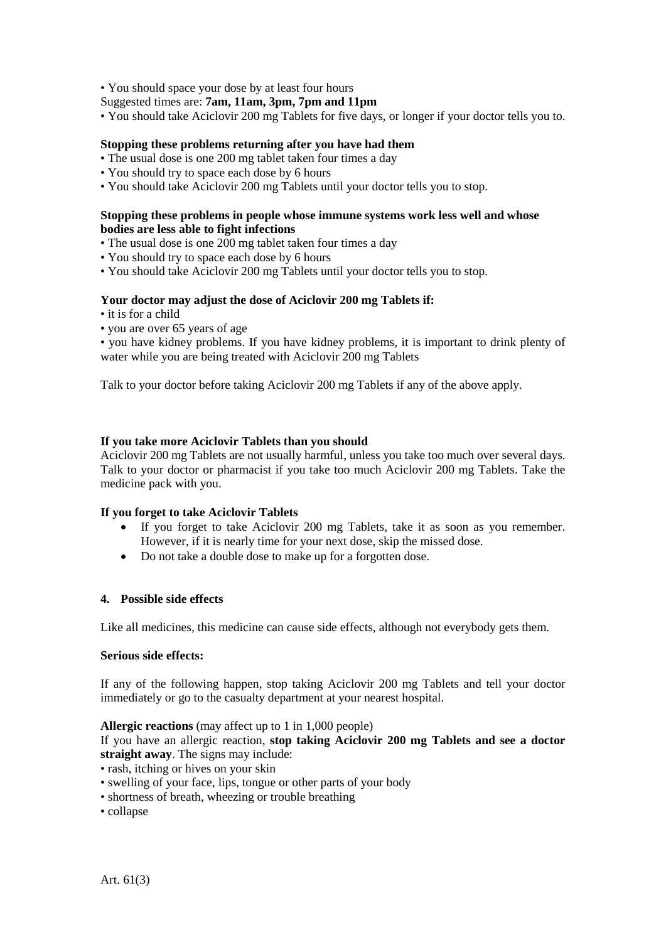• You should space your dose by at least four hours

Suggested times are: **7am, 11am, 3pm, 7pm and 11pm**

• You should take Aciclovir 200 mg Tablets for five days, or longer if your doctor tells you to.

### **Stopping these problems returning after you have had them**

- The usual dose is one 200 mg tablet taken four times a day
- You should try to space each dose by 6 hours
- You should take Aciclovir 200 mg Tablets until your doctor tells you to stop.

#### **Stopping these problems in people whose immune systems work less well and whose bodies are less able to fight infections**

- The usual dose is one 200 mg tablet taken four times a day
- You should try to space each dose by 6 hours
- You should take Aciclovir 200 mg Tablets until your doctor tells you to stop.

### **Your doctor may adjust the dose of Aciclovir 200 mg Tablets if:**

- it is for a child
- you are over 65 years of age

• you have kidney problems. If you have kidney problems, it is important to drink plenty of water while you are being treated with Aciclovir 200 mg Tablets

Talk to your doctor before taking Aciclovir 200 mg Tablets if any of the above apply.

### **If you take more Aciclovir Tablets than you should**

Aciclovir 200 mg Tablets are not usually harmful, unless you take too much over several days. Talk to your doctor or pharmacist if you take too much Aciclovir 200 mg Tablets. Take the medicine pack with you.

#### **If you forget to take Aciclovir Tablets**

- If you forget to take Aciclovir 200 mg Tablets, take it as soon as you remember. However, if it is nearly time for your next dose, skip the missed dose.
- Do not take a double dose to make up for a forgotten dose.

# **4. Possible side effects**

Like all medicines, this medicine can cause side effects, although not everybody gets them.

### **Serious side effects:**

If any of the following happen, stop taking Aciclovir 200 mg Tablets and tell your doctor immediately or go to the casualty department at your nearest hospital.

#### **Allergic reactions** (may affect up to 1 in 1,000 people)

If you have an allergic reaction, **stop taking Aciclovir 200 mg Tablets and see a doctor straight away**. The signs may include:

- rash, itching or hives on your skin
- swelling of your face, lips, tongue or other parts of your body
- shortness of breath, wheezing or trouble breathing
- collapse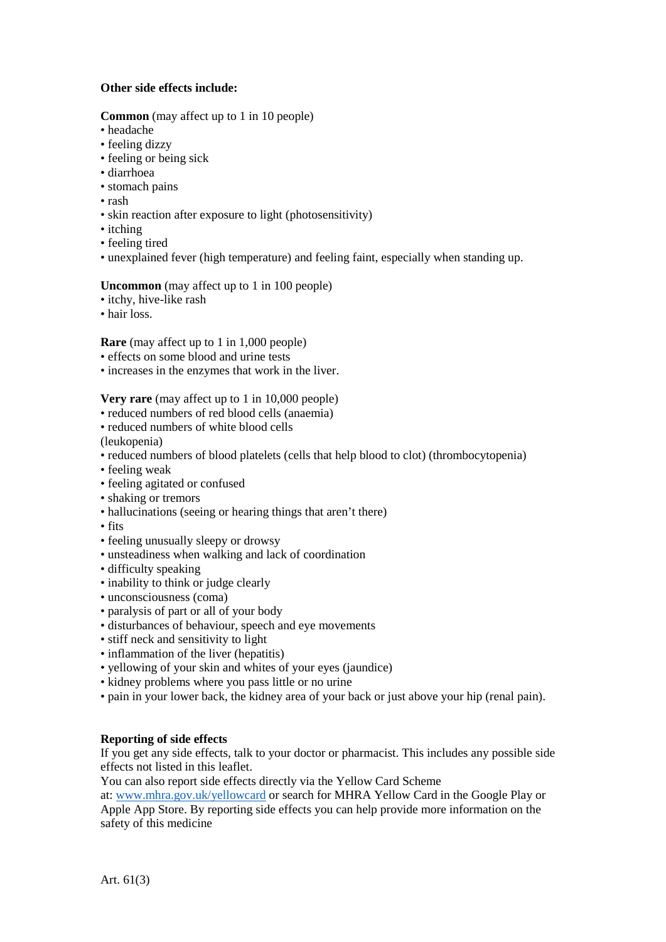# **Other side effects include:**

# **Common** (may affect up to 1 in 10 people)

- headache
- feeling dizzy
- feeling or being sick
- diarrhoea
- stomach pains
- rash
- skin reaction after exposure to light (photosensitivity)
- itching
- feeling tired
- unexplained fever (high temperature) and feeling faint, especially when standing up.

# **Uncommon** (may affect up to 1 in 100 people)

- itchy, hive-like rash
- hair loss.

**Rare** (may affect up to 1 in 1,000 people)

- effects on some blood and urine tests
- increases in the enzymes that work in the liver.

**Very rare** (may affect up to 1 in 10,000 people)

- reduced numbers of red blood cells (anaemia)
- reduced numbers of white blood cells

(leukopenia)

- reduced numbers of blood platelets (cells that help blood to clot) (thrombocytopenia)
- feeling weak
- feeling agitated or confused
- shaking or tremors
- hallucinations (seeing or hearing things that aren't there)
- fits
- feeling unusually sleepy or drowsy
- unsteadiness when walking and lack of coordination
- difficulty speaking
- inability to think or judge clearly
- unconsciousness (coma)
- paralysis of part or all of your body
- disturbances of behaviour, speech and eye movements
- stiff neck and sensitivity to light
- inflammation of the liver (hepatitis)
- yellowing of your skin and whites of your eyes (jaundice)
- kidney problems where you pass little or no urine
- pain in your lower back, the kidney area of your back or just above your hip (renal pain).

# **Reporting of side effects**

If you get any side effects, talk to your doctor or pharmacist. This includes any possible side effects not listed in this leaflet.

You can also report side effects directly via the Yellow Card Scheme

at: [www.mhra.gov.uk/yellowcard](http://www.mhra.gov.uk/yellowcard) or search for MHRA Yellow Card in the Google Play or Apple App Store. By reporting side effects you can help provide more information on the safety of this medicine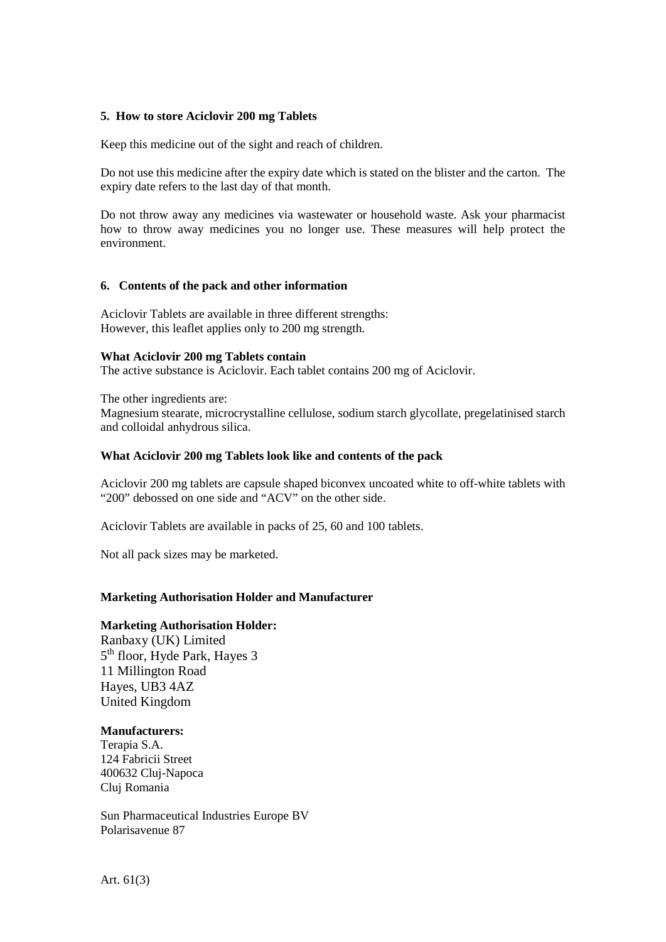### **5. How to store Aciclovir 200 mg Tablets**

Keep this medicine out of the sight and reach of children.

Do not use this medicine after the expiry date which is stated on the blister and the carton. The expiry date refers to the last day of that month.

Do not throw away any medicines via wastewater or household waste. Ask your pharmacist how to throw away medicines you no longer use. These measures will help protect the environment.

### **6. Contents of the pack and other information**

Aciclovir Tablets are available in three different strengths: However, this leaflet applies only to 200 mg strength.

#### **What Aciclovir 200 mg Tablets contain**

The active substance is Aciclovir. Each tablet contains 200 mg of Aciclovir.

The other ingredients are: Magnesium stearate, microcrystalline cellulose, sodium starch glycollate, pregelatinised starch and colloidal anhydrous silica.

### **What Aciclovir 200 mg Tablets look like and contents of the pack**

Aciclovir 200 mg tablets are capsule shaped biconvex uncoated white to off-white tablets with "200" debossed on one side and "ACV" on the other side.

Aciclovir Tablets are available in packs of 25, 60 and 100 tablets.

Not all pack sizes may be marketed.

# **Marketing Authorisation Holder and Manufacturer**

#### **Marketing Authorisation Holder:**

Ranbaxy (UK) Limited 5<sup>th</sup> floor, Hyde Park, Hayes 3 11 Millington Road Hayes, UB3 4AZ United Kingdom

#### **Manufacturers:**

Terapia S.A. 124 Fabricii Street 400632 Cluj-Napoca Cluj Romania

Sun Pharmaceutical Industries Europe BV Polarisavenue 87